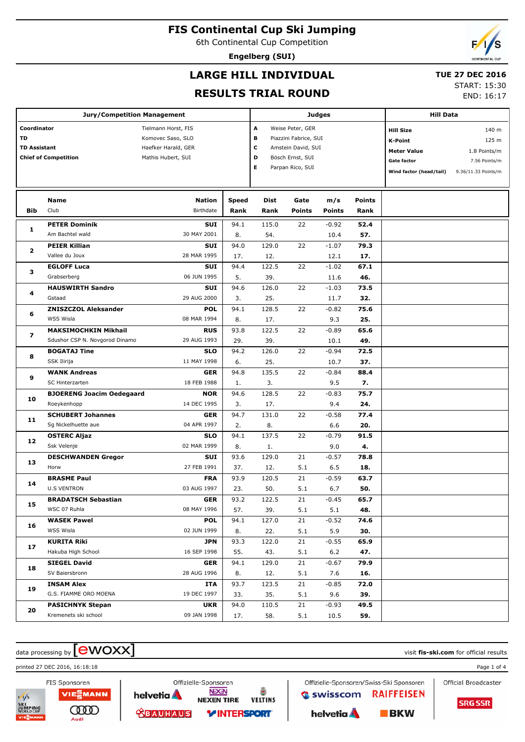6th Continental Cup Competition

**Engelberg (SUI)**

# **LARGE HILL INDIVIDUAL**

### **TUE 27 DEC 2016**

## **RESULTS TRIAL ROUND**

START: 15:30 END: 16:17

|                          | <b>Jury/Competition Management</b> |                                          |              |                                                     |                  | <b>Judges</b>      | Hill Data          |                         |                     |  |
|--------------------------|------------------------------------|------------------------------------------|--------------|-----------------------------------------------------|------------------|--------------------|--------------------|-------------------------|---------------------|--|
|                          |                                    |                                          |              |                                                     |                  |                    |                    |                         |                     |  |
| Coordinator<br>TD        |                                    | Tielmann Horst, FIS                      |              | A<br>Weise Peter, GER<br>в<br>Piazzini Fabrice, SUI |                  |                    |                    | <b>Hill Size</b>        | 140 m               |  |
| <b>TD Assistant</b>      |                                    | Komovec Saso, SLO<br>Haefker Harald, GER |              |                                                     |                  |                    | <b>K-Point</b>     | 125 m                   |                     |  |
|                          | <b>Chief of Competition</b>        | Mathis Hubert, SUI                       | c<br>D       | Amstein David, SUI<br>Bösch Ernst, SUI              |                  | <b>Meter Value</b> | 1.8 Points/m       |                         |                     |  |
|                          |                                    |                                          |              |                                                     |                  |                    | <b>Gate factor</b> | 7.56 Points/m           |                     |  |
|                          |                                    |                                          |              |                                                     | Parpan Rico, SUI |                    |                    | Wind factor (head/tail) | 9.36/11.33 Points/m |  |
|                          | <b>Name</b>                        | <b>Nation</b>                            | <b>Speed</b> | <b>Dist</b>                                         | Gate             | m/s                | <b>Points</b>      |                         |                     |  |
| Bib                      | Club                               | Birthdate                                | Rank         | Rank                                                | <b>Points</b>    | <b>Points</b>      | Rank               |                         |                     |  |
|                          |                                    |                                          |              |                                                     |                  |                    |                    |                         |                     |  |
| 1                        | <b>PETER Dominik</b>               | <b>SUI</b>                               | 94.1         | 115.0                                               | 22               | $-0.92$            | 52.4               |                         |                     |  |
|                          | Am Bachtel wald                    | 30 MAY 2001                              | 8.           | 54.                                                 |                  | 10.4               | 57.                |                         |                     |  |
| 2                        | <b>PEIER Killian</b>               | <b>SUI</b>                               | 94.0         | 129.0                                               | 22               | $-1.07$            | 79.3               |                         |                     |  |
|                          | Vallee du Joux                     | 28 MAR 1995                              | 17.          | 12.                                                 |                  | 12.1               | 17.                |                         |                     |  |
| з                        | <b>EGLOFF Luca</b>                 | <b>SUI</b>                               | 94.4         | 122.5                                               | 22               | $-1.02$            | 67.1               |                         |                     |  |
|                          | Grabserberg                        | 06 JUN 1995                              | 5.           | 39.                                                 |                  | 11.6               | 46.                |                         |                     |  |
| 4                        | <b>HAUSWIRTH Sandro</b>            | <b>SUI</b>                               | 94.6         | 126.0                                               | 22               | $-1.03$            | 73.5               |                         |                     |  |
|                          | Gstaad                             | 29 AUG 2000                              | 3.           | 25.                                                 |                  | 11.7               | 32.                |                         |                     |  |
| 6                        | <b>ZNISZCZOL Aleksander</b>        | <b>POL</b>                               | 94.1         | 128.5                                               | 22               | $-0.82$            | 75.6               |                         |                     |  |
|                          | <b>WSS Wisla</b>                   | 08 MAR 1994                              | 8.           | 17.                                                 |                  | 9.3                | 25.                |                         |                     |  |
| $\overline{\phantom{a}}$ | <b>MAKSIMOCHKIN Mikhail</b>        | <b>RUS</b>                               | 93.8         | 122.5                                               | 22               | $-0.89$            | 65.6               |                         |                     |  |
| 8                        | Sdushor CSP N. Novgorod Dinamo     | 29 AUG 1993                              | 29.          | 39.                                                 |                  | 10.1               | 49.                |                         |                     |  |
|                          | <b>BOGATAJ Tine</b>                | <b>SLO</b>                               | 94.2         | 126.0                                               | 22               | $-0.94$            | 72.5               |                         |                     |  |
|                          | SSK Ilirija                        | 11 MAY 1998                              | 6.           | 25.                                                 |                  | 10.7               | 37.                |                         |                     |  |
| 9                        | <b>WANK Andreas</b>                | <b>GER</b>                               | 94.8         | 135.5                                               | 22               | $-0.84$            | 88.4               |                         |                     |  |
|                          | <b>SC Hinterzarten</b>             | 18 FEB 1988                              | 1.           | 3.                                                  |                  | 9.5                | 7.                 |                         |                     |  |
| 10                       | <b>BJOERENG Joacim Oedegaard</b>   | <b>NOR</b>                               | 94.6         | 128.5                                               | 22               | $-0.83$            | 75.7               |                         |                     |  |
|                          | Roeykenhopp                        | 14 DEC 1995                              | 3.           | 17.                                                 |                  | 9.4                | 24.                |                         |                     |  |
| 11                       | <b>SCHUBERT Johannes</b>           | <b>GER</b>                               | 94.7         | 131.0                                               | 22               | $-0.58$            | 77.4               |                         |                     |  |
|                          | Sg Nickelhuette aue                | 04 APR 1997                              | 2.           | 8.                                                  |                  | 6.6                | 20.                |                         |                     |  |
| 12                       | <b>OSTERC Aljaz</b>                | <b>SLO</b>                               | 94.1         | 137.5                                               | 22               | $-0.79$            | 91.5               |                         |                     |  |
|                          | Ssk Velenje                        | 02 MAR 1999                              | 8.           | 1.                                                  |                  | 9.0                | 4.                 |                         |                     |  |
| 13                       | <b>DESCHWANDEN Gregor</b>          | <b>SUI</b>                               | 93.6         | 129.0                                               | 21               | $-0.57$            | 78.8               |                         |                     |  |
|                          | Horw                               | 27 FEB 1991                              | 37.          | 12.                                                 | 5.1              | 6.5                | 18.                |                         |                     |  |
| 14                       | <b>BRASME Paul</b>                 | <b>FRA</b>                               | 93.9         | 120.5                                               | 21               | $-0.59$            | 63.7               |                         |                     |  |
|                          | <b>U.S VENTRON</b>                 | 03 AUG 1997                              | 23.          | 50.                                                 | 5.1              | 6.7                | 50.                |                         |                     |  |
| 15                       | <b>BRADATSCH Sebastian</b>         | GER                                      | 93.2         | 122.5                                               | 21               | $-0.45$            | 65.7               |                         |                     |  |
|                          | WSC 07 Ruhla                       | 08 MAY 1996                              | 57.          | 39.                                                 | 5.1              | 5.1                | 48.                |                         |                     |  |
| 16                       | <b>WASEK Pawel</b>                 | <b>POL</b>                               | 94.1         | 127.0                                               | 21               | $-0.52$            | 74.6               |                         |                     |  |
|                          | WSS Wisla                          | 02 JUN 1999                              | 8.           | 22.                                                 | 5.1              | 5.9                | 30.                |                         |                     |  |
| 17                       | <b>KURITA Riki</b>                 | <b>JPN</b>                               | 93.3         | 122.0                                               | 21               | $-0.55$            | 65.9               |                         |                     |  |
|                          | Hakuba High School                 | 16 SEP 1998                              | 55.          | 43.                                                 | 5.1              | $6.2$              | 47.                |                         |                     |  |
| 18                       | <b>SIEGEL David</b>                | <b>GER</b>                               | 94.1         | 129.0                                               | 21               | $-0.67$            | 79.9               |                         |                     |  |
|                          | SV Baiersbronn                     | 28 AUG 1996                              | 8.           | 12.                                                 | 5.1              | 7.6                | 16.                |                         |                     |  |
| 19                       | <b>INSAM Alex</b>                  | ITA                                      | 93.7         | 123.5                                               | 21               | $-0.85$            | 72.0               |                         |                     |  |
|                          | G.S. FIAMME ORO MOENA              | 19 DEC 1997                              | 33.          | 35.                                                 | 5.1              | 9.6                | 39.                |                         |                     |  |
| 20                       | <b>PASICHNYK Stepan</b>            | <b>UKR</b>                               | 94.0         | 110.5                                               | 21               | $-0.93$            | 49.5               |                         |                     |  |
|                          | Kremenets ski school               | 09 JAN 1998                              | 17.          | 58.                                                 | 5.1              | 10.5               | 59.                |                         |                     |  |

# $\alpha$  data processing by  $\boxed{\text{ewOX}}$

printed 27 DEC 2016, 16:18:18 Page 1 of 4



Offizielle-Sponsoren **NEXEN** å **NEXEN TIRE VELTINS** *VINTERSPORT* 

helvetia A

*<u> SBAUHAUS</u>* 

Offizielle-Sponsoren/Swiss-Ski Sponsoren Swisscom **RAIFFEISEN** helvetia A  $BKN$ 

Official Broadcaster

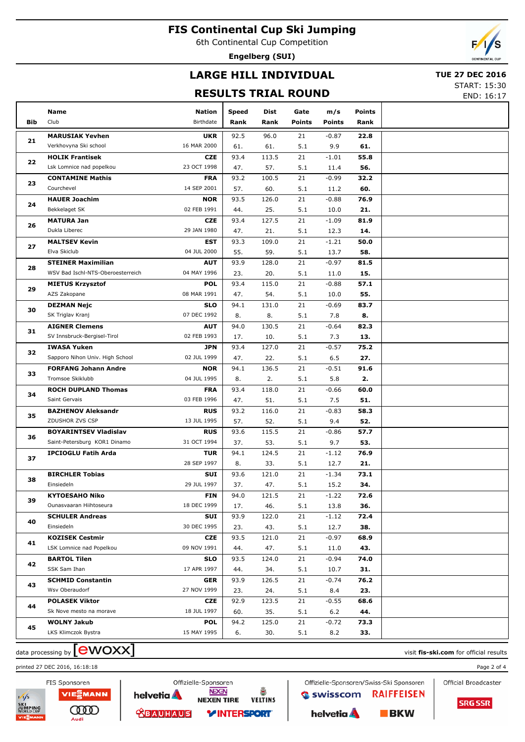6th Continental Cup Competition

**Engelberg (SUI)**

# **LARGE HILL INDIVIDUAL**

### **TUE 27 DEC 2016**

**RESULTS TRIAL ROUND**

START: 15:30 END: 16:17

|     | Name                                             | <b>Nation</b>                                                                                                                                                                                                                                                                                                                                                                                                                                                                                                                                                                                                                                                                                                                                                                                                                                                                                                                                                                                                                                                                                                                                                                                                                                                                                                                                                                                                                                                                                                                                                                                                                                                                                                                                                                                                                                                                                                                                                                                                                                                                                                                                                                                                                    | <b>Speed</b> | Dist  | Gate          | m/s           | <b>Points</b> |  |
|-----|--------------------------------------------------|----------------------------------------------------------------------------------------------------------------------------------------------------------------------------------------------------------------------------------------------------------------------------------------------------------------------------------------------------------------------------------------------------------------------------------------------------------------------------------------------------------------------------------------------------------------------------------------------------------------------------------------------------------------------------------------------------------------------------------------------------------------------------------------------------------------------------------------------------------------------------------------------------------------------------------------------------------------------------------------------------------------------------------------------------------------------------------------------------------------------------------------------------------------------------------------------------------------------------------------------------------------------------------------------------------------------------------------------------------------------------------------------------------------------------------------------------------------------------------------------------------------------------------------------------------------------------------------------------------------------------------------------------------------------------------------------------------------------------------------------------------------------------------------------------------------------------------------------------------------------------------------------------------------------------------------------------------------------------------------------------------------------------------------------------------------------------------------------------------------------------------------------------------------------------------------------------------------------------------|--------------|-------|---------------|---------------|---------------|--|
| Bib | Club                                             | Birthdate                                                                                                                                                                                                                                                                                                                                                                                                                                                                                                                                                                                                                                                                                                                                                                                                                                                                                                                                                                                                                                                                                                                                                                                                                                                                                                                                                                                                                                                                                                                                                                                                                                                                                                                                                                                                                                                                                                                                                                                                                                                                                                                                                                                                                        | Rank         | Rank  | <b>Points</b> | <b>Points</b> | Rank          |  |
|     | <b>MARUSIAK Yevhen</b>                           | <b>UKR</b>                                                                                                                                                                                                                                                                                                                                                                                                                                                                                                                                                                                                                                                                                                                                                                                                                                                                                                                                                                                                                                                                                                                                                                                                                                                                                                                                                                                                                                                                                                                                                                                                                                                                                                                                                                                                                                                                                                                                                                                                                                                                                                                                                                                                                       | 92.5         | 96.0  | 21            | $-0.87$       | 22.8          |  |
| 21  | Verkhovyna Ski school                            | 16 MAR 2000                                                                                                                                                                                                                                                                                                                                                                                                                                                                                                                                                                                                                                                                                                                                                                                                                                                                                                                                                                                                                                                                                                                                                                                                                                                                                                                                                                                                                                                                                                                                                                                                                                                                                                                                                                                                                                                                                                                                                                                                                                                                                                                                                                                                                      | 61.          | 61.   | 5.1           | 9.9           | 61.           |  |
|     | <b>HOLIK Frantisek</b>                           | <b>CZE</b>                                                                                                                                                                                                                                                                                                                                                                                                                                                                                                                                                                                                                                                                                                                                                                                                                                                                                                                                                                                                                                                                                                                                                                                                                                                                                                                                                                                                                                                                                                                                                                                                                                                                                                                                                                                                                                                                                                                                                                                                                                                                                                                                                                                                                       | 93.4         | 113.5 | 21            | $-1.01$       | 55.8          |  |
| 22  | Lsk Lomnice nad popelkou                         | 23 OCT 1998<br>57.<br>5.1<br>56.<br>47.<br>11.4<br>93.2<br>100.5<br>21<br><b>FRA</b><br>$-0.99$<br>32.2<br>14 SEP 2001<br>5.1<br>60.<br>57.<br>60.<br>11.2<br>93.5<br><b>NOR</b><br>126.0<br>21<br>$-0.88$<br>76.9<br>02 FEB 1991<br>25.<br>5.1<br>44.<br>10.0<br>21.<br>127.5<br><b>CZE</b><br>93.4<br>21<br>$-1.09$<br>81.9<br>29 JAN 1980<br>5.1<br>14.<br>47.<br>21.<br>12.3<br>EST<br>93.3<br>109.0<br>21<br>$-1.21$<br>50.0<br>04 JUL 2000<br>55.<br>59.<br>5.1<br>58.<br>13.7<br>21<br><b>AUT</b><br>93.9<br>128.0<br>$-0.97$<br>81.5<br>04 MAY 1996<br>20.<br>5.1<br>15.<br>23.<br>11.0<br><b>POL</b><br>93.4<br>115.0<br>21<br>$-0.88$<br>57.1<br>08 MAR 1991<br>54.<br>5.1<br>55.<br>47.<br>10.0<br><b>SLO</b><br>94.1<br>131.0<br>21<br>$-0.69$<br>83.7<br>07 DEC 1992<br>8.<br>5.1<br>8.<br>8.<br>7.8<br><b>AUT</b><br>94.0<br>130.5<br>21<br>$-0.64$<br>82.3<br>02 FEB 1993<br>5.1<br>13.<br>17.<br>10.<br>7.3<br><b>JPN</b><br>93.4<br>127.0<br>21<br>$-0.57$<br>75.2<br>02 JUL 1999<br>22.<br>5.1<br>6.5<br>27.<br>47.<br><b>NOR</b><br>94.1<br>136.5<br>21<br>$-0.51$<br>91.6<br>04 JUL 1995<br>2.<br>5.1<br>5.8<br>2.<br>8.<br><b>FRA</b><br>93.4<br>118.0<br>21<br>$-0.66$<br>60.0<br>03 FEB 1996<br>51.<br>5.1<br>7.5<br>51.<br>47.<br>21<br><b>RUS</b><br>93.2<br>116.0<br>$-0.83$<br>58.3<br>13 JUL 1995<br>52.<br>5.1<br>52.<br>57.<br>9.4<br><b>RUS</b><br>93.6<br>115.5<br>21<br>$-0.86$<br>57.7<br>31 OCT 1994<br>37.<br>53.<br>5.1<br>9.7<br>53.<br><b>TUR</b><br>94.1<br>124.5<br>21<br>$-1.12$<br>76.9<br>28 SEP 1997<br>33.<br>5.1<br>12.7<br>21.<br>8.<br>SUI<br>93.6<br>121.0<br>21<br>$-1.34$<br>73.1<br>29 JUL 1997<br>37.<br>47.<br>5.1<br>15.2<br>34.<br>94.0<br><b>FIN</b><br>121.5<br>21<br>$-1.22$<br>72.6<br>18 DEC 1999<br>46.<br>5.1<br>13.8<br>36.<br>17.<br>SUI<br>93.9<br>122.0<br>21<br>$-1.12$<br>72.4<br>30 DEC 1995<br>5.1<br>23.<br>43.<br>12.7<br>38.<br>93.5<br><b>CZE</b><br>121.0<br>21<br>$-0.97$<br>68.9<br>09 NOV 1991<br>44.<br>47.<br>5.1<br>11.0<br>43.<br>93.5<br><b>SLO</b><br>124.0<br>21<br>$-0.94$<br>74.0<br>17 APR 1997<br>5.1<br>44.<br>34.<br>10.7<br>31.<br>76.2<br>GER<br>93.9<br>126.5<br>21<br>$-0.74$<br>27 NOV 1999<br>5.1<br>23.<br>24.<br>8.4<br>23. |              |       |               |               |               |  |
|     | <b>CONTAMINE Mathis</b>                          |                                                                                                                                                                                                                                                                                                                                                                                                                                                                                                                                                                                                                                                                                                                                                                                                                                                                                                                                                                                                                                                                                                                                                                                                                                                                                                                                                                                                                                                                                                                                                                                                                                                                                                                                                                                                                                                                                                                                                                                                                                                                                                                                                                                                                                  |              |       |               |               |               |  |
| 23  | Courchevel                                       |                                                                                                                                                                                                                                                                                                                                                                                                                                                                                                                                                                                                                                                                                                                                                                                                                                                                                                                                                                                                                                                                                                                                                                                                                                                                                                                                                                                                                                                                                                                                                                                                                                                                                                                                                                                                                                                                                                                                                                                                                                                                                                                                                                                                                                  |              |       |               |               |               |  |
|     | <b>HAUER Joachim</b>                             |                                                                                                                                                                                                                                                                                                                                                                                                                                                                                                                                                                                                                                                                                                                                                                                                                                                                                                                                                                                                                                                                                                                                                                                                                                                                                                                                                                                                                                                                                                                                                                                                                                                                                                                                                                                                                                                                                                                                                                                                                                                                                                                                                                                                                                  |              |       |               |               |               |  |
| 24  | Bekkelaget SK                                    |                                                                                                                                                                                                                                                                                                                                                                                                                                                                                                                                                                                                                                                                                                                                                                                                                                                                                                                                                                                                                                                                                                                                                                                                                                                                                                                                                                                                                                                                                                                                                                                                                                                                                                                                                                                                                                                                                                                                                                                                                                                                                                                                                                                                                                  |              |       |               |               |               |  |
|     | <b>MATURA Jan</b>                                |                                                                                                                                                                                                                                                                                                                                                                                                                                                                                                                                                                                                                                                                                                                                                                                                                                                                                                                                                                                                                                                                                                                                                                                                                                                                                                                                                                                                                                                                                                                                                                                                                                                                                                                                                                                                                                                                                                                                                                                                                                                                                                                                                                                                                                  |              |       |               |               |               |  |
| 26  | Dukla Liberec                                    |                                                                                                                                                                                                                                                                                                                                                                                                                                                                                                                                                                                                                                                                                                                                                                                                                                                                                                                                                                                                                                                                                                                                                                                                                                                                                                                                                                                                                                                                                                                                                                                                                                                                                                                                                                                                                                                                                                                                                                                                                                                                                                                                                                                                                                  |              |       |               |               |               |  |
| 27  | <b>MALTSEV Kevin</b>                             |                                                                                                                                                                                                                                                                                                                                                                                                                                                                                                                                                                                                                                                                                                                                                                                                                                                                                                                                                                                                                                                                                                                                                                                                                                                                                                                                                                                                                                                                                                                                                                                                                                                                                                                                                                                                                                                                                                                                                                                                                                                                                                                                                                                                                                  |              |       |               |               |               |  |
|     | Elva Skiclub                                     |                                                                                                                                                                                                                                                                                                                                                                                                                                                                                                                                                                                                                                                                                                                                                                                                                                                                                                                                                                                                                                                                                                                                                                                                                                                                                                                                                                                                                                                                                                                                                                                                                                                                                                                                                                                                                                                                                                                                                                                                                                                                                                                                                                                                                                  |              |       |               |               |               |  |
| 28  | <b>STEINER Maximilian</b>                        |                                                                                                                                                                                                                                                                                                                                                                                                                                                                                                                                                                                                                                                                                                                                                                                                                                                                                                                                                                                                                                                                                                                                                                                                                                                                                                                                                                                                                                                                                                                                                                                                                                                                                                                                                                                                                                                                                                                                                                                                                                                                                                                                                                                                                                  |              |       |               |               |               |  |
|     | WSV Bad Ischl-NTS-Oberoesterreich                |                                                                                                                                                                                                                                                                                                                                                                                                                                                                                                                                                                                                                                                                                                                                                                                                                                                                                                                                                                                                                                                                                                                                                                                                                                                                                                                                                                                                                                                                                                                                                                                                                                                                                                                                                                                                                                                                                                                                                                                                                                                                                                                                                                                                                                  |              |       |               |               |               |  |
| 29  | <b>MIETUS Krzysztof</b>                          |                                                                                                                                                                                                                                                                                                                                                                                                                                                                                                                                                                                                                                                                                                                                                                                                                                                                                                                                                                                                                                                                                                                                                                                                                                                                                                                                                                                                                                                                                                                                                                                                                                                                                                                                                                                                                                                                                                                                                                                                                                                                                                                                                                                                                                  |              |       |               |               |               |  |
|     | AZS Zakopane                                     |                                                                                                                                                                                                                                                                                                                                                                                                                                                                                                                                                                                                                                                                                                                                                                                                                                                                                                                                                                                                                                                                                                                                                                                                                                                                                                                                                                                                                                                                                                                                                                                                                                                                                                                                                                                                                                                                                                                                                                                                                                                                                                                                                                                                                                  |              |       |               |               |               |  |
| 30  | <b>DEZMAN Nejc</b>                               |                                                                                                                                                                                                                                                                                                                                                                                                                                                                                                                                                                                                                                                                                                                                                                                                                                                                                                                                                                                                                                                                                                                                                                                                                                                                                                                                                                                                                                                                                                                                                                                                                                                                                                                                                                                                                                                                                                                                                                                                                                                                                                                                                                                                                                  |              |       |               |               |               |  |
|     | SK Triglav Kranj                                 |                                                                                                                                                                                                                                                                                                                                                                                                                                                                                                                                                                                                                                                                                                                                                                                                                                                                                                                                                                                                                                                                                                                                                                                                                                                                                                                                                                                                                                                                                                                                                                                                                                                                                                                                                                                                                                                                                                                                                                                                                                                                                                                                                                                                                                  |              |       |               |               |               |  |
| 31  | <b>AIGNER Clemens</b>                            |                                                                                                                                                                                                                                                                                                                                                                                                                                                                                                                                                                                                                                                                                                                                                                                                                                                                                                                                                                                                                                                                                                                                                                                                                                                                                                                                                                                                                                                                                                                                                                                                                                                                                                                                                                                                                                                                                                                                                                                                                                                                                                                                                                                                                                  |              |       |               |               |               |  |
|     | SV Innsbruck-Bergisel-Tirol                      |                                                                                                                                                                                                                                                                                                                                                                                                                                                                                                                                                                                                                                                                                                                                                                                                                                                                                                                                                                                                                                                                                                                                                                                                                                                                                                                                                                                                                                                                                                                                                                                                                                                                                                                                                                                                                                                                                                                                                                                                                                                                                                                                                                                                                                  |              |       |               |               |               |  |
| 32  | <b>IWASA Yuken</b>                               |                                                                                                                                                                                                                                                                                                                                                                                                                                                                                                                                                                                                                                                                                                                                                                                                                                                                                                                                                                                                                                                                                                                                                                                                                                                                                                                                                                                                                                                                                                                                                                                                                                                                                                                                                                                                                                                                                                                                                                                                                                                                                                                                                                                                                                  |              |       |               |               |               |  |
|     | Sapporo Nihon Univ. High School                  |                                                                                                                                                                                                                                                                                                                                                                                                                                                                                                                                                                                                                                                                                                                                                                                                                                                                                                                                                                                                                                                                                                                                                                                                                                                                                                                                                                                                                                                                                                                                                                                                                                                                                                                                                                                                                                                                                                                                                                                                                                                                                                                                                                                                                                  |              |       |               |               |               |  |
| 33  | <b>FORFANG Johann Andre</b>                      |                                                                                                                                                                                                                                                                                                                                                                                                                                                                                                                                                                                                                                                                                                                                                                                                                                                                                                                                                                                                                                                                                                                                                                                                                                                                                                                                                                                                                                                                                                                                                                                                                                                                                                                                                                                                                                                                                                                                                                                                                                                                                                                                                                                                                                  |              |       |               |               |               |  |
|     | Tromsoe Skiklubb                                 |                                                                                                                                                                                                                                                                                                                                                                                                                                                                                                                                                                                                                                                                                                                                                                                                                                                                                                                                                                                                                                                                                                                                                                                                                                                                                                                                                                                                                                                                                                                                                                                                                                                                                                                                                                                                                                                                                                                                                                                                                                                                                                                                                                                                                                  |              |       |               |               |               |  |
| 34  | <b>ROCH DUPLAND Thomas</b>                       |                                                                                                                                                                                                                                                                                                                                                                                                                                                                                                                                                                                                                                                                                                                                                                                                                                                                                                                                                                                                                                                                                                                                                                                                                                                                                                                                                                                                                                                                                                                                                                                                                                                                                                                                                                                                                                                                                                                                                                                                                                                                                                                                                                                                                                  |              |       |               |               |               |  |
|     | Saint Gervais                                    |                                                                                                                                                                                                                                                                                                                                                                                                                                                                                                                                                                                                                                                                                                                                                                                                                                                                                                                                                                                                                                                                                                                                                                                                                                                                                                                                                                                                                                                                                                                                                                                                                                                                                                                                                                                                                                                                                                                                                                                                                                                                                                                                                                                                                                  |              |       |               |               |               |  |
| 35  | <b>BAZHENOV Aleksandr</b>                        |                                                                                                                                                                                                                                                                                                                                                                                                                                                                                                                                                                                                                                                                                                                                                                                                                                                                                                                                                                                                                                                                                                                                                                                                                                                                                                                                                                                                                                                                                                                                                                                                                                                                                                                                                                                                                                                                                                                                                                                                                                                                                                                                                                                                                                  |              |       |               |               |               |  |
|     | ZDUSHOR ZVS CSP                                  |                                                                                                                                                                                                                                                                                                                                                                                                                                                                                                                                                                                                                                                                                                                                                                                                                                                                                                                                                                                                                                                                                                                                                                                                                                                                                                                                                                                                                                                                                                                                                                                                                                                                                                                                                                                                                                                                                                                                                                                                                                                                                                                                                                                                                                  |              |       |               |               |               |  |
| 36  | <b>BOYARINTSEV Vladislav</b>                     |                                                                                                                                                                                                                                                                                                                                                                                                                                                                                                                                                                                                                                                                                                                                                                                                                                                                                                                                                                                                                                                                                                                                                                                                                                                                                                                                                                                                                                                                                                                                                                                                                                                                                                                                                                                                                                                                                                                                                                                                                                                                                                                                                                                                                                  |              |       |               |               |               |  |
|     | Saint-Petersburg KOR1 Dinamo                     |                                                                                                                                                                                                                                                                                                                                                                                                                                                                                                                                                                                                                                                                                                                                                                                                                                                                                                                                                                                                                                                                                                                                                                                                                                                                                                                                                                                                                                                                                                                                                                                                                                                                                                                                                                                                                                                                                                                                                                                                                                                                                                                                                                                                                                  |              |       |               |               |               |  |
| 37  | <b>IPCIOGLU Fatih Arda</b>                       |                                                                                                                                                                                                                                                                                                                                                                                                                                                                                                                                                                                                                                                                                                                                                                                                                                                                                                                                                                                                                                                                                                                                                                                                                                                                                                                                                                                                                                                                                                                                                                                                                                                                                                                                                                                                                                                                                                                                                                                                                                                                                                                                                                                                                                  |              |       |               |               |               |  |
|     |                                                  |                                                                                                                                                                                                                                                                                                                                                                                                                                                                                                                                                                                                                                                                                                                                                                                                                                                                                                                                                                                                                                                                                                                                                                                                                                                                                                                                                                                                                                                                                                                                                                                                                                                                                                                                                                                                                                                                                                                                                                                                                                                                                                                                                                                                                                  |              |       |               |               |               |  |
| 38  | <b>BIRCHLER Tobias</b>                           |                                                                                                                                                                                                                                                                                                                                                                                                                                                                                                                                                                                                                                                                                                                                                                                                                                                                                                                                                                                                                                                                                                                                                                                                                                                                                                                                                                                                                                                                                                                                                                                                                                                                                                                                                                                                                                                                                                                                                                                                                                                                                                                                                                                                                                  |              |       |               |               |               |  |
|     | Einsiedeln                                       |                                                                                                                                                                                                                                                                                                                                                                                                                                                                                                                                                                                                                                                                                                                                                                                                                                                                                                                                                                                                                                                                                                                                                                                                                                                                                                                                                                                                                                                                                                                                                                                                                                                                                                                                                                                                                                                                                                                                                                                                                                                                                                                                                                                                                                  |              |       |               |               |               |  |
| 39  | <b>KYTOESAHO Niko</b><br>Ounasvaaran Hiihtoseura |                                                                                                                                                                                                                                                                                                                                                                                                                                                                                                                                                                                                                                                                                                                                                                                                                                                                                                                                                                                                                                                                                                                                                                                                                                                                                                                                                                                                                                                                                                                                                                                                                                                                                                                                                                                                                                                                                                                                                                                                                                                                                                                                                                                                                                  |              |       |               |               |               |  |
|     | <b>SCHULER Andreas</b>                           |                                                                                                                                                                                                                                                                                                                                                                                                                                                                                                                                                                                                                                                                                                                                                                                                                                                                                                                                                                                                                                                                                                                                                                                                                                                                                                                                                                                                                                                                                                                                                                                                                                                                                                                                                                                                                                                                                                                                                                                                                                                                                                                                                                                                                                  |              |       |               |               |               |  |
| 40  | Einsiedeln                                       |                                                                                                                                                                                                                                                                                                                                                                                                                                                                                                                                                                                                                                                                                                                                                                                                                                                                                                                                                                                                                                                                                                                                                                                                                                                                                                                                                                                                                                                                                                                                                                                                                                                                                                                                                                                                                                                                                                                                                                                                                                                                                                                                                                                                                                  |              |       |               |               |               |  |
|     | <b>KOZISEK Cestmir</b>                           |                                                                                                                                                                                                                                                                                                                                                                                                                                                                                                                                                                                                                                                                                                                                                                                                                                                                                                                                                                                                                                                                                                                                                                                                                                                                                                                                                                                                                                                                                                                                                                                                                                                                                                                                                                                                                                                                                                                                                                                                                                                                                                                                                                                                                                  |              |       |               |               |               |  |
| 41  | LSK Lomnice nad Popelkou                         |                                                                                                                                                                                                                                                                                                                                                                                                                                                                                                                                                                                                                                                                                                                                                                                                                                                                                                                                                                                                                                                                                                                                                                                                                                                                                                                                                                                                                                                                                                                                                                                                                                                                                                                                                                                                                                                                                                                                                                                                                                                                                                                                                                                                                                  |              |       |               |               |               |  |
|     | <b>BARTOL Tilen</b>                              |                                                                                                                                                                                                                                                                                                                                                                                                                                                                                                                                                                                                                                                                                                                                                                                                                                                                                                                                                                                                                                                                                                                                                                                                                                                                                                                                                                                                                                                                                                                                                                                                                                                                                                                                                                                                                                                                                                                                                                                                                                                                                                                                                                                                                                  |              |       |               |               |               |  |
| 42  | SSK Sam Ihan                                     |                                                                                                                                                                                                                                                                                                                                                                                                                                                                                                                                                                                                                                                                                                                                                                                                                                                                                                                                                                                                                                                                                                                                                                                                                                                                                                                                                                                                                                                                                                                                                                                                                                                                                                                                                                                                                                                                                                                                                                                                                                                                                                                                                                                                                                  |              |       |               |               |               |  |
|     | <b>SCHMID Constantin</b>                         |                                                                                                                                                                                                                                                                                                                                                                                                                                                                                                                                                                                                                                                                                                                                                                                                                                                                                                                                                                                                                                                                                                                                                                                                                                                                                                                                                                                                                                                                                                                                                                                                                                                                                                                                                                                                                                                                                                                                                                                                                                                                                                                                                                                                                                  |              |       |               |               |               |  |
| 43  | Wsv Oberaudorf                                   |                                                                                                                                                                                                                                                                                                                                                                                                                                                                                                                                                                                                                                                                                                                                                                                                                                                                                                                                                                                                                                                                                                                                                                                                                                                                                                                                                                                                                                                                                                                                                                                                                                                                                                                                                                                                                                                                                                                                                                                                                                                                                                                                                                                                                                  |              |       |               |               |               |  |
|     | <b>POLASEK Viktor</b>                            | <b>CZE</b>                                                                                                                                                                                                                                                                                                                                                                                                                                                                                                                                                                                                                                                                                                                                                                                                                                                                                                                                                                                                                                                                                                                                                                                                                                                                                                                                                                                                                                                                                                                                                                                                                                                                                                                                                                                                                                                                                                                                                                                                                                                                                                                                                                                                                       | 92.9         | 123.5 | 21            | $-0.55$       | 68.6          |  |
| 44  | Sk Nove mesto na morave                          | 18 JUL 1997                                                                                                                                                                                                                                                                                                                                                                                                                                                                                                                                                                                                                                                                                                                                                                                                                                                                                                                                                                                                                                                                                                                                                                                                                                                                                                                                                                                                                                                                                                                                                                                                                                                                                                                                                                                                                                                                                                                                                                                                                                                                                                                                                                                                                      | 60.          | 35.   | 5.1           | 6.2           | 44.           |  |
|     | <b>WOLNY Jakub</b>                               | <b>POL</b>                                                                                                                                                                                                                                                                                                                                                                                                                                                                                                                                                                                                                                                                                                                                                                                                                                                                                                                                                                                                                                                                                                                                                                                                                                                                                                                                                                                                                                                                                                                                                                                                                                                                                                                                                                                                                                                                                                                                                                                                                                                                                                                                                                                                                       | 94.2         | 125.0 | 21            | $-0.72$       | 73.3          |  |
| 45  | LKS Klimczok Bystra                              | 15 MAY 1995                                                                                                                                                                                                                                                                                                                                                                                                                                                                                                                                                                                                                                                                                                                                                                                                                                                                                                                                                                                                                                                                                                                                                                                                                                                                                                                                                                                                                                                                                                                                                                                                                                                                                                                                                                                                                                                                                                                                                                                                                                                                                                                                                                                                                      | 6.           | 30.   | 5.1           | 8.2           | 33.           |  |
|     |                                                  |                                                                                                                                                                                                                                                                                                                                                                                                                                                                                                                                                                                                                                                                                                                                                                                                                                                                                                                                                                                                                                                                                                                                                                                                                                                                                                                                                                                                                                                                                                                                                                                                                                                                                                                                                                                                                                                                                                                                                                                                                                                                                                                                                                                                                                  |              |       |               |               |               |  |

Offizielle-Sponsoren

helvetia A

**NEXEN** 

**NEXEN TIRE** 

*VINTERSPORT* 

å

**VELTINS** 

# $\alpha$  data processing by  $\boxed{\text{ewOX}}$

VIE를MANN

ത്ത

Audi





Official Broadcaster



helvetia A

Swisscom

Offizielle-Sponsoren/Swiss-Ski Sponsoren

**RAIFFEISEN** 

 $BKN$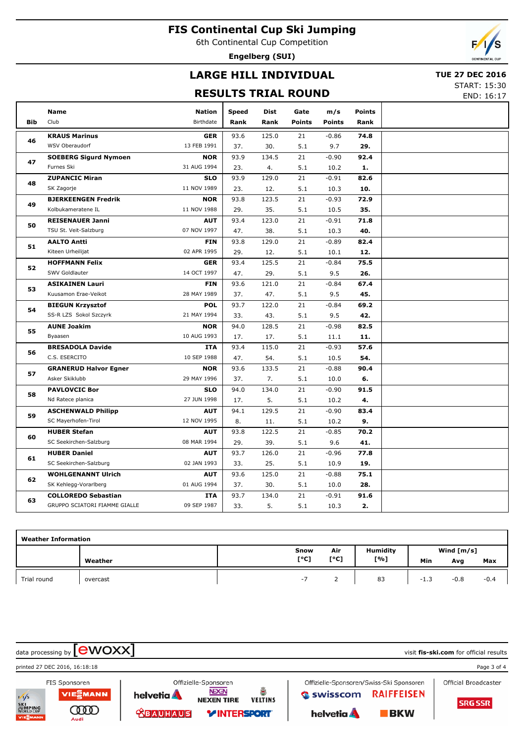6th Continental Cup Competition

**Engelberg (SUI)**



# **LARGE HILL INDIVIDUAL**

### **TUE 27 DEC 2016**

## **RESULTS TRIAL ROUND**

START: 15:30

END: 16:17

|            | <b>Name</b>                   | <b>Nation</b>    | <b>Speed</b> | <b>Dist</b> | Gate          | m/s           | <b>Points</b> |  |
|------------|-------------------------------|------------------|--------------|-------------|---------------|---------------|---------------|--|
| <b>Bib</b> | Club                          | <b>Birthdate</b> | Rank         | Rank        | <b>Points</b> | <b>Points</b> | Rank          |  |
|            | <b>KRAUS Marinus</b>          | <b>GER</b>       | 93.6         | 125.0       | 21            | $-0.86$       | 74.8          |  |
| 46         | WSV Oberaudorf                | 13 FEB 1991      | 37.          | 30.         | 5.1           | 9.7           | 29.           |  |
|            | <b>SOEBERG Sigurd Nymoen</b>  | <b>NOR</b>       | 93.9         | 134.5       | 21            | $-0.90$       | 92.4          |  |
| 47         | Furnes Ski                    | 31 AUG 1994      | 23.          | 4.          | 5.1           | 10.2          | 1.            |  |
|            | <b>ZUPANCIC Miran</b>         | <b>SLO</b>       | 93.9         | 129.0       | 21            | $-0.91$       | 82.6          |  |
| 48         | SK Zagorje                    | 11 NOV 1989      | 23.          | 12.         | 5.1           | 10.3          | 10.           |  |
|            | <b>BJERKEENGEN Fredrik</b>    | <b>NOR</b>       | 93.8         | 123.5       | 21            | $-0.93$       | 72.9          |  |
| 49         | Kolbukameratene IL            | 11 NOV 1988      | 29.          | 35.         | 5.1           | 10.5          | 35.           |  |
| 50         | <b>REISENAUER Janni</b>       | <b>AUT</b>       | 93.4         | 123.0       | 21            | $-0.91$       | 71.8          |  |
|            | TSU St. Veit-Salzburg         | 07 NOV 1997      | 47.          | 38.         | 5.1           | 10.3          | 40.           |  |
| 51         | <b>AALTO Antti</b>            | <b>FIN</b>       | 93.8         | 129.0       | 21            | $-0.89$       | 82.4          |  |
|            | Kiteen Urheilijat             | 02 APR 1995      | 29.          | 12.         | 5.1           | 10.1          | 12.           |  |
| 52         | <b>HOFFMANN Felix</b>         | <b>GER</b>       | 93.4         | 125.5       | 21            | $-0.84$       | 75.5          |  |
|            | SWV Goldlauter                | 14 OCT 1997      | 47.          | 29.         | 5.1           | 9.5           | 26.           |  |
| 53         | <b>ASIKAINEN Lauri</b>        | <b>FIN</b>       | 93.6         | 121.0       | 21            | $-0.84$       | 67.4          |  |
|            | Kuusamon Erae-Veikot          | 28 MAY 1989      | 37.          | 47.         | 5.1           | 9.5           | 45.           |  |
| 54         | <b>BIEGUN Krzysztof</b>       | <b>POL</b>       | 93.7         | 122.0       | 21            | $-0.84$       | 69.2          |  |
|            | SS-R LZS Sokol Szczyrk        | 21 MAY 1994      | 33.          | 43.         | 5.1           | 9.5           | 42.           |  |
| 55         | <b>AUNE Joakim</b>            | <b>NOR</b>       | 94.0         | 128.5       | 21            | $-0.98$       | 82.5          |  |
|            | Byaasen                       | 10 AUG 1993      | 17.          | 17.         | 5.1           | 11.1          | 11.           |  |
| 56         | <b>BRESADOLA Davide</b>       | <b>ITA</b>       | 93.4         | 115.0       | 21            | $-0.93$       | 57.6          |  |
|            | C.S. ESERCITO                 | 10 SEP 1988      | 47.          | 54.         | 5.1           | 10.5          | 54.           |  |
| 57         | <b>GRANERUD Halvor Egner</b>  | <b>NOR</b>       | 93.6         | 133.5       | 21            | $-0.88$       | 90.4          |  |
|            | Asker Skiklubb                | 29 MAY 1996      | 37.          | 7.          | 5.1           | 10.0          | 6.            |  |
| 58         | <b>PAVLOVCIC Bor</b>          | <b>SLO</b>       | 94.0         | 134.0       | 21            | $-0.90$       | 91.5          |  |
|            | Nd Ratece planica             | 27 JUN 1998      | 17.          | 5.          | 5.1           | 10.2          | 4.            |  |
| 59         | <b>ASCHENWALD Philipp</b>     | <b>AUT</b>       | 94.1         | 129.5       | 21            | $-0.90$       | 83.4          |  |
|            | SC Mayerhofen-Tirol           | 12 NOV 1995      | 8.           | 11.         | 5.1           | 10.2          | 9.            |  |
| 60         | <b>HUBER Stefan</b>           | <b>AUT</b>       | 93.8         | 122.5       | 21            | $-0.85$       | 70.2          |  |
|            | SC Seekirchen-Salzburg        | 08 MAR 1994      | 29.          | 39.         | 5.1           | 9.6           | 41.           |  |
| 61         | <b>HUBER Daniel</b>           | <b>AUT</b>       | 93.7         | 126.0       | 21            | $-0.96$       | 77.8          |  |
|            | SC Seekirchen-Salzburg        | 02 JAN 1993      | 33.          | 25.         | 5.1           | 10.9          | 19.           |  |
| 62         | <b>WOHLGENANNT Ulrich</b>     | <b>AUT</b>       | 93.6         | 125.0       | 21            | $-0.88$       | 75.1          |  |
|            | SK Kehlegg-Vorarlberg         | 01 AUG 1994      | 37.          | 30.         | 5.1           | 10.0          | 28.           |  |
| 63         | <b>COLLOREDO Sebastian</b>    | ITA              | 93.7         | 134.0       | 21            | $-0.91$       | 91.6          |  |
|            | GRUPPO SCIATORI FIAMME GIALLE | 09 SEP 1987      | 33.          | 5.          | 5.1           | 10.3          | 2.            |  |

| <b>Weather Information</b> |          |      |      |                 |              |        |        |  |  |  |  |
|----------------------------|----------|------|------|-----------------|--------------|--------|--------|--|--|--|--|
|                            |          | Snow | Air  | <b>Humidity</b> | Wind $[m/s]$ |        |        |  |  |  |  |
|                            | Weather  | [°C] | [°C] | [%]             | Min          | Avg    | Max    |  |  |  |  |
| Trial round                | overcast | $-1$ |      | 83              | -1.3         | $-0.8$ | $-0.4$ |  |  |  |  |